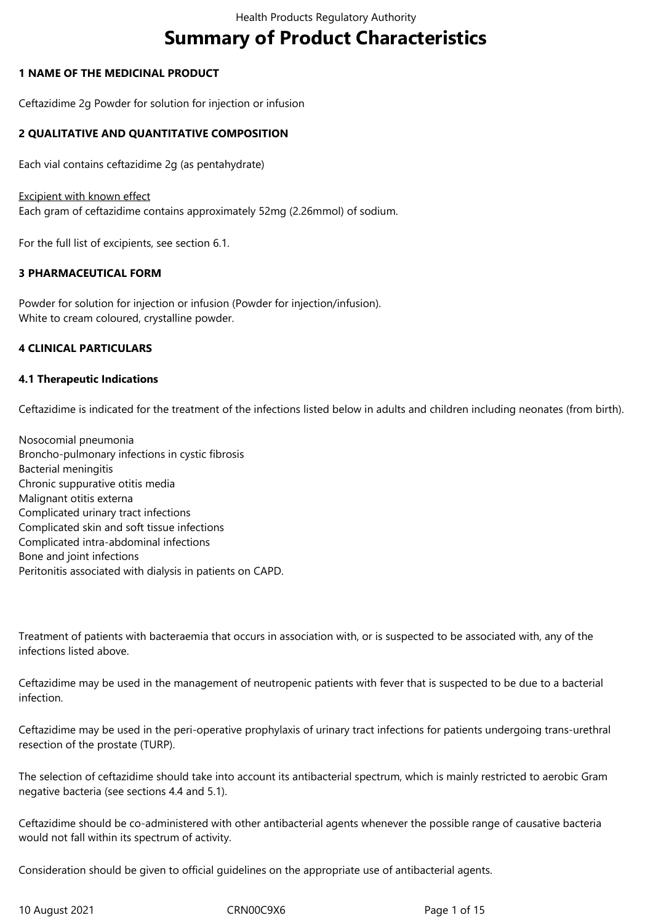# **Summary of Product Characteristics**

## **1 NAME OF THE MEDICINAL PRODUCT**

Ceftazidime 2g Powder for solution for injection or infusion

## **2 QUALITATIVE AND QUANTITATIVE COMPOSITION**

Each vial contains ceftazidime 2g (as pentahydrate)

## Excipient with known effect

Each gram of ceftazidime contains approximately 52mg (2.26mmol) of sodium.

For the full list of excipients, see section 6.1.

## **3 PHARMACEUTICAL FORM**

Powder for solution for injection or infusion (Powder for injection/infusion). White to cream coloured, crystalline powder.

## **4 CLINICAL PARTICULARS**

## **4.1 Therapeutic Indications**

Ceftazidime is indicated for the treatment of the infections listed below in adults and children including neonates (from birth).

Nosocomial pneumonia Broncho-pulmonary infections in cystic fibrosis Bacterial meningitis Chronic suppurative otitis media Malignant otitis externa Complicated urinary tract infections Complicated skin and soft tissue infections Complicated intra-abdominal infections Bone and joint infections Peritonitis associated with dialysis in patients on CAPD.

Treatment of patients with bacteraemia that occurs in association with, or is suspected to be associated with, any of the infections listed above.

Ceftazidime may be used in the management of neutropenic patients with fever that is suspected to be due to a bacterial infection.

Ceftazidime may be used in the peri-operative prophylaxis of urinary tract infections for patients undergoing trans-urethral resection of the prostate (TURP).

The selection of ceftazidime should take into account its antibacterial spectrum, which is mainly restricted to aerobic Gram negative bacteria (see sections 4.4 and 5.1).

Ceftazidime should be co-administered with other antibacterial agents whenever the possible range of causative bacteria would not fall within its spectrum of activity.

Consideration should be given to official guidelines on the appropriate use of antibacterial agents.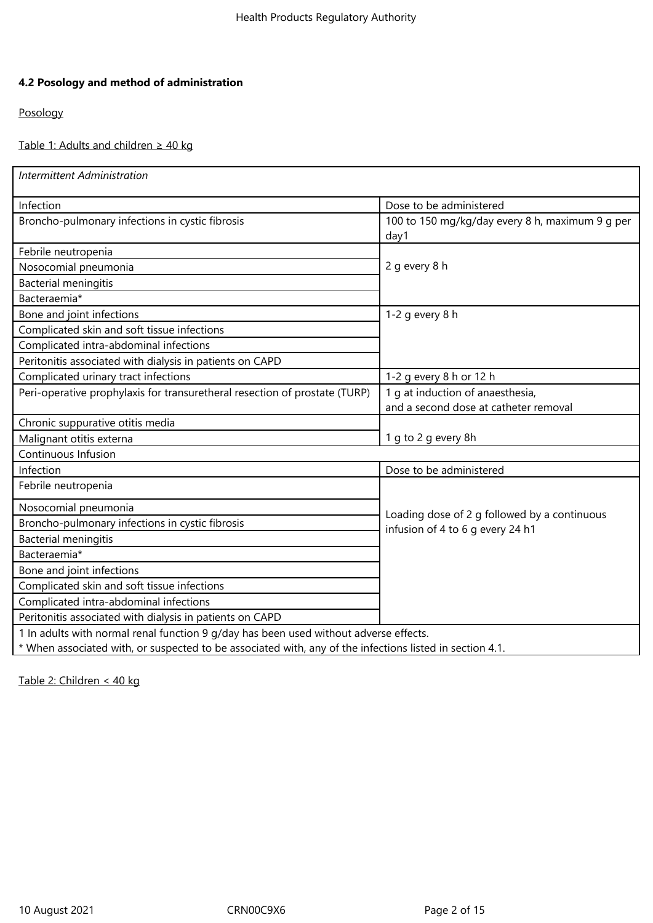# **4.2 Posology and method of administration**

# Posology

# Table 1: Adults and children  $\geq 40$  kg

| <b>Intermittent Administration</b>                                                                                                                                                                |                                                                           |  |
|---------------------------------------------------------------------------------------------------------------------------------------------------------------------------------------------------|---------------------------------------------------------------------------|--|
| Infection                                                                                                                                                                                         | Dose to be administered                                                   |  |
| Broncho-pulmonary infections in cystic fibrosis                                                                                                                                                   | 100 to 150 mg/kg/day every 8 h, maximum 9 g per<br>day1                   |  |
| Febrile neutropenia                                                                                                                                                                               |                                                                           |  |
| Nosocomial pneumonia                                                                                                                                                                              | 2 g every 8 h                                                             |  |
| Bacterial meningitis                                                                                                                                                                              |                                                                           |  |
| Bacteraemia*                                                                                                                                                                                      |                                                                           |  |
| Bone and joint infections                                                                                                                                                                         | 1-2 $q$ every 8 h                                                         |  |
| Complicated skin and soft tissue infections                                                                                                                                                       |                                                                           |  |
| Complicated intra-abdominal infections                                                                                                                                                            |                                                                           |  |
| Peritonitis associated with dialysis in patients on CAPD                                                                                                                                          |                                                                           |  |
| Complicated urinary tract infections                                                                                                                                                              | 1-2 g every 8 h or 12 h                                                   |  |
| Peri-operative prophylaxis for transuretheral resection of prostate (TURP)                                                                                                                        | 1 g at induction of anaesthesia,<br>and a second dose at catheter removal |  |
| Chronic suppurative otitis media                                                                                                                                                                  |                                                                           |  |
| Malignant otitis externa                                                                                                                                                                          | 1 g to 2 g every 8h                                                       |  |
| Continuous Infusion                                                                                                                                                                               |                                                                           |  |
| Infection                                                                                                                                                                                         | Dose to be administered                                                   |  |
| Febrile neutropenia                                                                                                                                                                               |                                                                           |  |
| Nosocomial pneumonia                                                                                                                                                                              | Loading dose of 2 g followed by a continuous                              |  |
| Broncho-pulmonary infections in cystic fibrosis                                                                                                                                                   | infusion of 4 to 6 g every 24 h1                                          |  |
| <b>Bacterial meningitis</b>                                                                                                                                                                       |                                                                           |  |
| Bacteraemia*                                                                                                                                                                                      |                                                                           |  |
| Bone and joint infections                                                                                                                                                                         |                                                                           |  |
| Complicated skin and soft tissue infections                                                                                                                                                       |                                                                           |  |
| Complicated intra-abdominal infections                                                                                                                                                            |                                                                           |  |
| Peritonitis associated with dialysis in patients on CAPD                                                                                                                                          |                                                                           |  |
| 1 In adults with normal renal function 9 g/day has been used without adverse effects.<br>* When associated with, or suspected to be associated with, any of the infections listed in section 4.1. |                                                                           |  |

Table 2: Children < 40 kg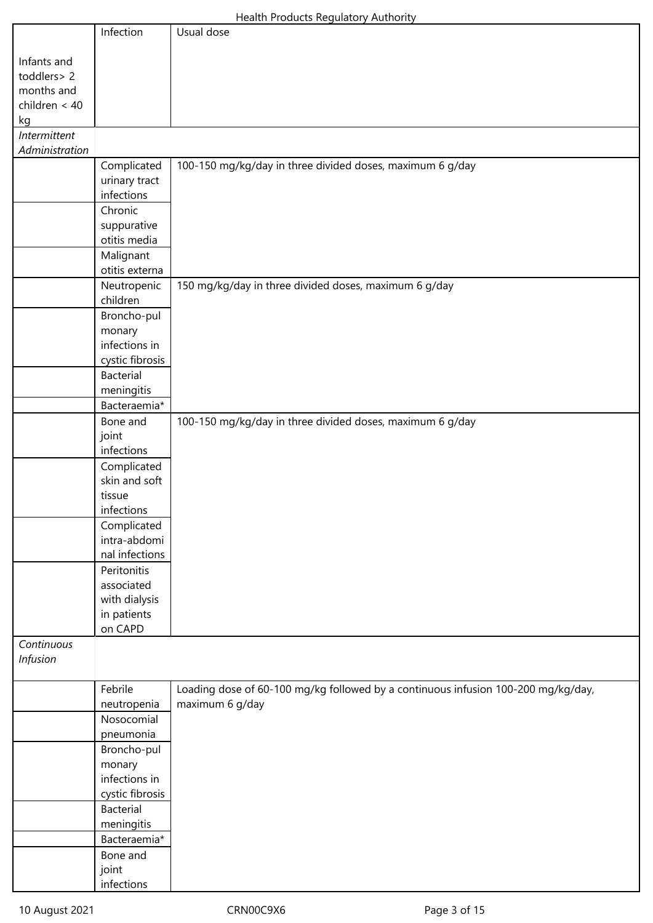| <b>Health Products Regulatory Authority</b> |  |
|---------------------------------------------|--|
|---------------------------------------------|--|

|                                       | Infection                   | $\ldots$<br>Usual dose                                                            |
|---------------------------------------|-----------------------------|-----------------------------------------------------------------------------------|
|                                       |                             |                                                                                   |
| Infants and                           |                             |                                                                                   |
| toddlers> 2                           |                             |                                                                                   |
| months and                            |                             |                                                                                   |
| children $< 40$                       |                             |                                                                                   |
| kg                                    |                             |                                                                                   |
| <b>Intermittent</b><br>Administration |                             |                                                                                   |
|                                       | Complicated                 | 100-150 mg/kg/day in three divided doses, maximum 6 g/day                         |
|                                       | urinary tract               |                                                                                   |
|                                       | infections                  |                                                                                   |
|                                       | Chronic                     |                                                                                   |
|                                       | suppurative                 |                                                                                   |
|                                       | otitis media                |                                                                                   |
|                                       | Malignant                   |                                                                                   |
|                                       | otitis externa              |                                                                                   |
|                                       | Neutropenic                 | 150 mg/kg/day in three divided doses, maximum 6 g/day                             |
|                                       | children                    |                                                                                   |
|                                       | Broncho-pul                 |                                                                                   |
|                                       | monary                      |                                                                                   |
|                                       | infections in               |                                                                                   |
|                                       | cystic fibrosis             |                                                                                   |
|                                       | <b>Bacterial</b>            |                                                                                   |
|                                       | meningitis                  |                                                                                   |
|                                       | Bacteraemia*                |                                                                                   |
|                                       | Bone and                    | 100-150 mg/kg/day in three divided doses, maximum 6 g/day                         |
|                                       | joint                       |                                                                                   |
|                                       | infections                  |                                                                                   |
|                                       | Complicated                 |                                                                                   |
|                                       | skin and soft               |                                                                                   |
|                                       | tissue                      |                                                                                   |
|                                       | infections                  |                                                                                   |
|                                       | Complicated<br>intra-abdomi |                                                                                   |
|                                       | nal infections              |                                                                                   |
|                                       | Peritonitis                 |                                                                                   |
|                                       | associated                  |                                                                                   |
|                                       | with dialysis               |                                                                                   |
|                                       | in patients                 |                                                                                   |
|                                       | on CAPD                     |                                                                                   |
| Continuous                            |                             |                                                                                   |
| <b>Infusion</b>                       |                             |                                                                                   |
|                                       |                             |                                                                                   |
|                                       | Febrile                     | Loading dose of 60-100 mg/kg followed by a continuous infusion 100-200 mg/kg/day, |
|                                       | neutropenia                 | maximum 6 g/day                                                                   |
|                                       | Nosocomial                  |                                                                                   |
|                                       | pneumonia                   |                                                                                   |
|                                       | Broncho-pul                 |                                                                                   |
|                                       | monary                      |                                                                                   |
|                                       | infections in               |                                                                                   |
|                                       | cystic fibrosis             |                                                                                   |
|                                       | <b>Bacterial</b>            |                                                                                   |
|                                       | meningitis<br>Bacteraemia*  |                                                                                   |
|                                       |                             |                                                                                   |
|                                       | Bone and<br>joint           |                                                                                   |
|                                       | infections                  |                                                                                   |
|                                       |                             |                                                                                   |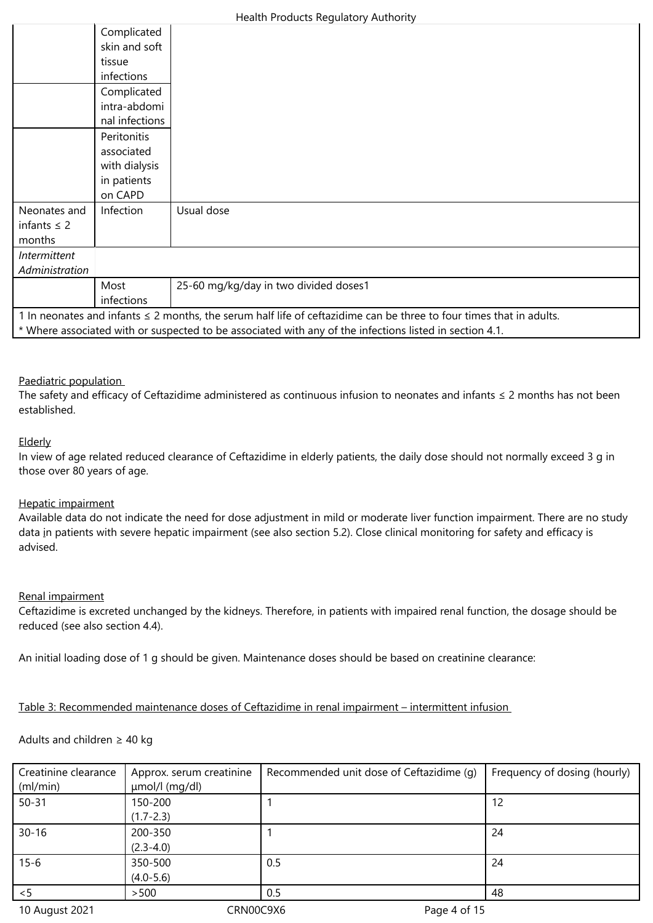| Health Products Regulatory Authority |
|--------------------------------------|
|--------------------------------------|

|                  | Complicated    |                                                                                                                          |
|------------------|----------------|--------------------------------------------------------------------------------------------------------------------------|
|                  | skin and soft  |                                                                                                                          |
|                  | tissue         |                                                                                                                          |
|                  | infections     |                                                                                                                          |
|                  | Complicated    |                                                                                                                          |
|                  | intra-abdomi   |                                                                                                                          |
|                  | nal infections |                                                                                                                          |
|                  | Peritonitis    |                                                                                                                          |
|                  | associated     |                                                                                                                          |
|                  | with dialysis  |                                                                                                                          |
|                  | in patients    |                                                                                                                          |
|                  | on CAPD        |                                                                                                                          |
| Neonates and     | Infection      | Usual dose                                                                                                               |
| infants $\leq$ 2 |                |                                                                                                                          |
| months           |                |                                                                                                                          |
| Intermittent     |                |                                                                                                                          |
| Administration   |                |                                                                                                                          |
|                  | Most           | 25-60 mg/kg/day in two divided doses1                                                                                    |
|                  | infections     |                                                                                                                          |
|                  |                | 1 In neonates and infants $\leq$ 2 months, the serum half life of ceftazidime can be three to four times that in adults. |
|                  |                | * Where associated with or suspected to be associated with any of the infections listed in section 4.1.                  |

## Paediatric population

The safety and efficacy of Ceftazidime administered as continuous infusion to neonates and infants ≤ 2 months has not been established.

#### Elderly

In view of age related reduced clearance of Ceftazidime in elderly patients, the daily dose should not normally exceed 3 g in those over 80 years of age.

#### Hepatic impairment

Available data do not indicate the need for dose adjustment in mild or moderate liver function impairment. There are no study data in patients with severe hepatic impairment (see also section 5.2). Close clinical monitoring for safety and efficacy is advised.

#### Renal impairment

Ceftazidime is excreted unchanged by the kidneys. Therefore, in patients with impaired renal function, the dosage should be reduced (see also section 4.4).

An initial loading dose of 1 g should be given. Maintenance doses should be based on creatinine clearance:

#### Table 3: Recommended maintenance doses of Ceftazidime in renal impairment – intermittent infusion

#### Adults and children ≥ 40 kg

| Creatinine clearance | Approx. serum creatinine | Recommended unit dose of Ceftazidime (q) | Frequency of dosing (hourly) |
|----------------------|--------------------------|------------------------------------------|------------------------------|
| (ml/min)             | $\mu$ mol/l (mg/dl)      |                                          |                              |
| $50 - 31$            | 150-200                  |                                          | 12                           |
|                      | $(1.7 - 2.3)$            |                                          |                              |
| $30 - 16$            | 200-350                  |                                          | 24                           |
|                      | $(2.3 - 4.0)$            |                                          |                              |
| $15 - 6$             | 350-500                  | 0.5                                      | 24                           |
|                      | $(4.0 - 5.6)$            |                                          |                              |
| < 5                  | >500                     | 0.5                                      | 48                           |
| 10 August 2021       | CRN00C9X6                | Page 4 of 15                             |                              |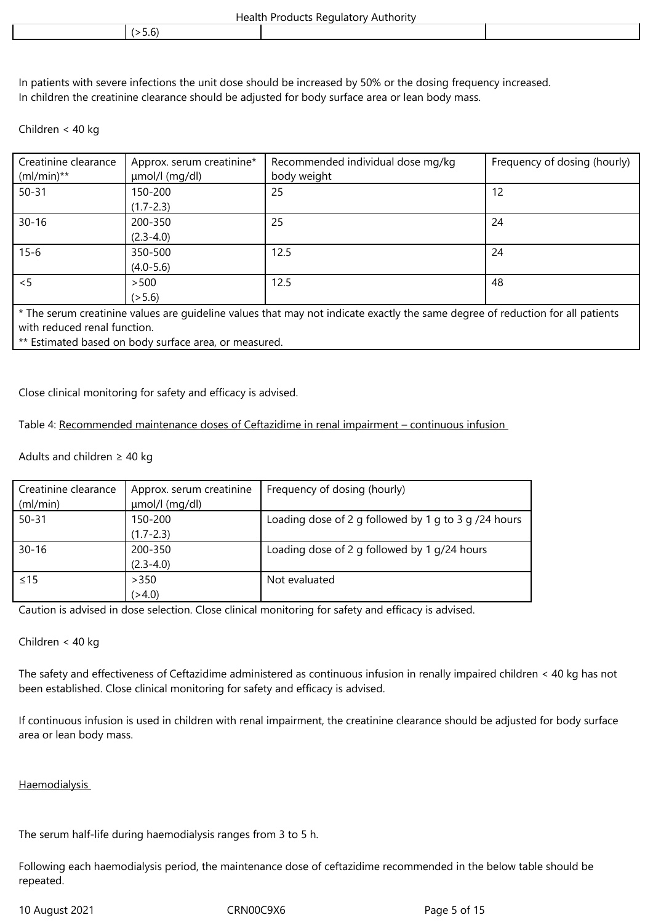$(5.6)$ 

In patients with severe infections the unit dose should be increased by 50% or the dosing frequency increased. In children the creatinine clearance should be adjusted for body surface area or lean body mass.

Children < 40 kg

| Creatinine clearance<br>$(mI/min)**$                                                                                           | Approx. serum creatinine*<br>µmol/l (mg/dl)                                      | Recommended individual dose mg/kg<br>body weight | Frequency of dosing (hourly) |  |  |
|--------------------------------------------------------------------------------------------------------------------------------|----------------------------------------------------------------------------------|--------------------------------------------------|------------------------------|--|--|
| $50 - 31$                                                                                                                      | 150-200                                                                          | 25                                               | 12                           |  |  |
|                                                                                                                                | $(1.7 - 2.3)$                                                                    |                                                  |                              |  |  |
| $30 - 16$                                                                                                                      | 200-350                                                                          | 25                                               | 24                           |  |  |
|                                                                                                                                | $(2.3 - 4.0)$                                                                    |                                                  |                              |  |  |
| $15 - 6$                                                                                                                       | 350-500                                                                          | 12.5                                             | 24                           |  |  |
|                                                                                                                                | $(4.0 - 5.6)$                                                                    |                                                  |                              |  |  |
| < 5                                                                                                                            | > 500                                                                            | 12.5                                             | 48                           |  |  |
|                                                                                                                                | (5.6)                                                                            |                                                  |                              |  |  |
| * The serum creatinine values are quideline values that may not indicate exactly the same degree of reduction for all patients |                                                                                  |                                                  |                              |  |  |
| with reduced renal function.                                                                                                   |                                                                                  |                                                  |                              |  |  |
|                                                                                                                                | ★★ 同じ動い しゅう di la dia di la di la dia dia dia 40 da dia 40 da dia 40 da dia 41 d |                                                  |                              |  |  |

\*\* Estimated based on body surface area, or measured.

#### Close clinical monitoring for safety and efficacy is advised.

## Table 4: Recommended maintenance doses of Ceftazidime in renal impairment – continuous infusion

Adults and children  $\geq 40$  kg

| Creatinine clearance<br>(ml/min) | Approx. serum creatinine<br>µmol/l (mg/dl) | Frequency of dosing (hourly)                         |
|----------------------------------|--------------------------------------------|------------------------------------------------------|
| $50 - 31$                        | 150-200                                    | Loading dose of 2 g followed by 1 g to 3 g /24 hours |
|                                  | $(1.7 - 2.3)$                              |                                                      |
| $30 - 16$                        | 200-350                                    | Loading dose of 2 g followed by 1 g/24 hours         |
|                                  | $(2.3 - 4.0)$                              |                                                      |
| $\leq 15$                        | >350                                       | Not evaluated                                        |
|                                  | ( > 4.0)                                   |                                                      |

Caution is advised in dose selection. Close clinical monitoring for safety and efficacy is advised.

Children < 40 kg

The safety and effectiveness of Ceftazidime administered as continuous infusion in renally impaired children < 40 kg has not been established. Close clinical monitoring for safety and efficacy is advised.

If continuous infusion is used in children with renal impairment, the creatinine clearance should be adjusted for body surface area or lean body mass.

#### **Haemodialysis**

The serum half-life during haemodialysis ranges from 3 to 5 h.

Following each haemodialysis period, the maintenance dose of ceftazidime recommended in the below table should be repeated.

10 August 2021 CRN00C9X6 Page 5 of 15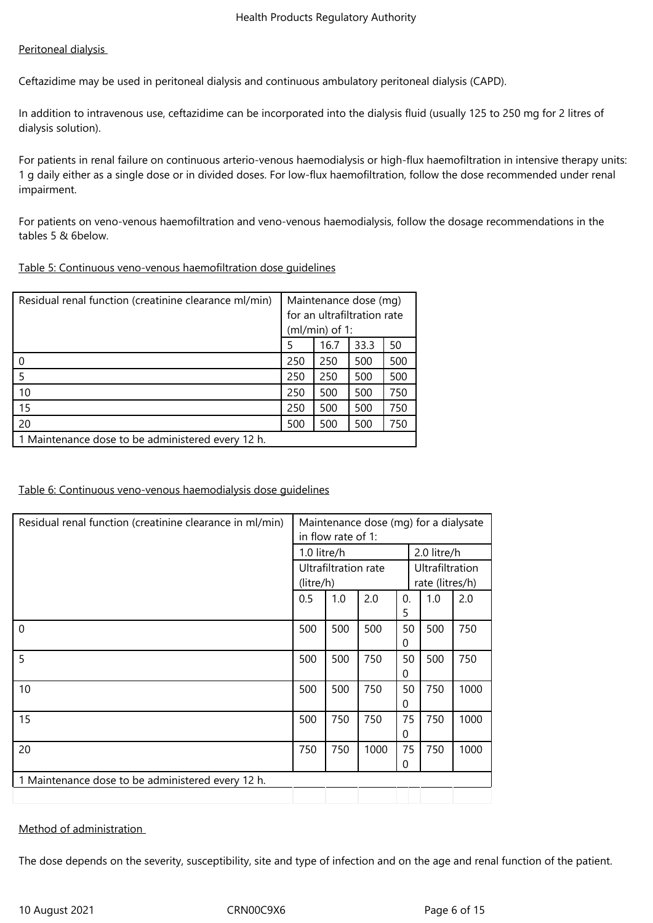## Peritoneal dialysis

Ceftazidime may be used in peritoneal dialysis and continuous ambulatory peritoneal dialysis (CAPD).

In addition to intravenous use, ceftazidime can be incorporated into the dialysis fluid (usually 125 to 250 mg for 2 litres of dialysis solution).

For patients in renal failure on continuous arterio-venous haemodialysis or high-flux haemofiltration in intensive therapy units: 1 g daily either as a single dose or in divided doses. For low-flux haemofiltration, follow the dose recommended under renal impairment.

For patients on veno-venous haemofiltration and veno-venous haemodialysis, follow the dosage recommendations in the tables 5 & 6below.

#### Table 5: Continuous veno-venous haemofiltration dose guidelines

| Residual renal function (creatinine clearance ml/min) |     |                  | Maintenance dose (mg)       |     |
|-------------------------------------------------------|-----|------------------|-----------------------------|-----|
|                                                       |     |                  | for an ultrafiltration rate |     |
|                                                       |     | $(ml/min)$ of 1: |                             |     |
|                                                       | 5   | 16.7             | 33.3                        | 50  |
| 0                                                     | 250 | 250              | 500                         | 500 |
| 5                                                     | 250 | 250              | 500                         | 500 |
| 10                                                    | 250 | 500              | 500                         | 750 |
| 15                                                    | 250 | 500              | 500                         | 750 |
| 20                                                    | 500 | 500              | 500                         | 750 |
| 1 Maintenance dose to be administered every 12 h.     |     |                  |                             |     |

#### Table 6: Continuous veno-venous haemodialysis dose guidelines

| Residual renal function (creatinine clearance in ml/min) |             |                      | Maintenance dose (mg) for a dialysate |                |                 |      |
|----------------------------------------------------------|-------------|----------------------|---------------------------------------|----------------|-----------------|------|
|                                                          |             | in flow rate of 1:   |                                       |                |                 |      |
|                                                          | 1.0 litre/h |                      |                                       |                | 2.0 litre/h     |      |
|                                                          |             | Ultrafiltration rate |                                       |                | Ultrafiltration |      |
|                                                          | (litre/h)   |                      |                                       |                | rate (litres/h) |      |
|                                                          | 0.5         | 1.0                  | 2.0                                   | $\mathbf{0}$ . | 1.0             | 2.0  |
|                                                          |             |                      |                                       | 5              |                 |      |
| $\mathbf{0}$                                             | 500         | 500                  | 500                                   | 50             | 500             | 750  |
|                                                          |             |                      |                                       | 0              |                 |      |
| 5                                                        | 500         | 500                  | 750                                   | 50             | 500             | 750  |
|                                                          |             |                      |                                       | 0              |                 |      |
| 10                                                       | 500         | 500                  | 750                                   | 50             | 750             | 1000 |
|                                                          |             |                      |                                       | 0              |                 |      |
| 15                                                       | 500         | 750                  | 750                                   | 75             | 750             | 1000 |
|                                                          |             |                      |                                       | 0              |                 |      |
| 20                                                       | 750         | 750                  | 1000                                  | 75             | 750             | 1000 |
|                                                          |             |                      |                                       | 0              |                 |      |
| 1 Maintenance dose to be administered every 12 h.        |             |                      |                                       |                |                 |      |
|                                                          |             |                      |                                       |                |                 |      |

#### Method of administration

The dose depends on the severity, susceptibility, site and type of infection and on the age and renal function of the patient.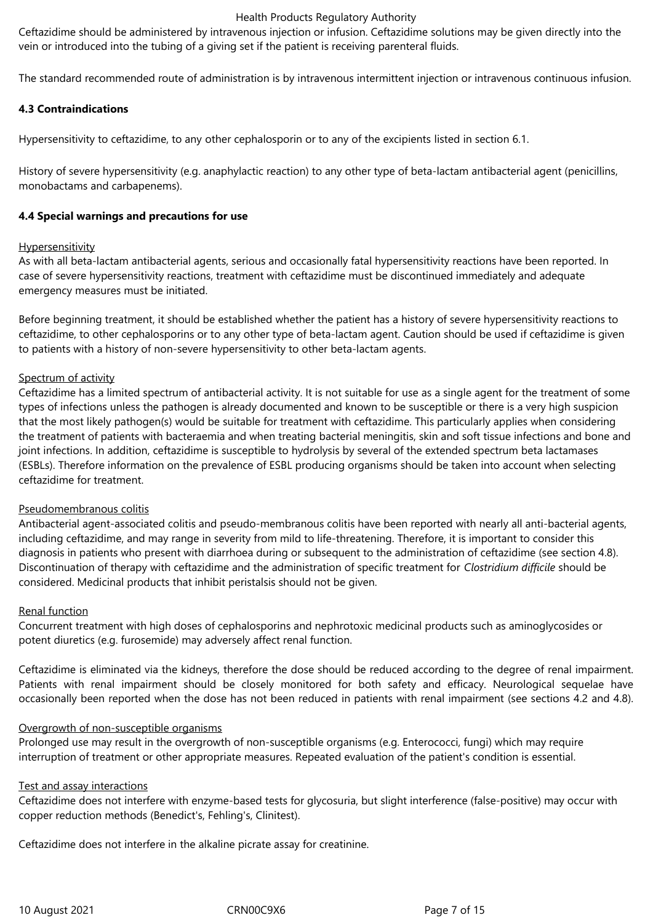#### Health Products Regulatory Authority

Ceftazidime should be administered by intravenous injection or infusion. Ceftazidime solutions may be given directly into the vein or introduced into the tubing of a giving set if the patient is receiving parenteral fluids.

The standard recommended route of administration is by intravenous intermittent injection or intravenous continuous infusion.

## **4.3 Contraindications**

Hypersensitivity to ceftazidime, to any other cephalosporin or to any of the excipients listed in section 6.1.

History of severe hypersensitivity (e.g. anaphylactic reaction) to any other type of beta-lactam antibacterial agent (penicillins, monobactams and carbapenems).

## **4.4 Special warnings and precautions for use**

## **Hypersensitivity**

As with all beta-lactam antibacterial agents, serious and occasionally fatal hypersensitivity reactions have been reported. In case of severe hypersensitivity reactions, treatment with ceftazidime must be discontinued immediately and adequate emergency measures must be initiated.

Before beginning treatment, it should be established whether the patient has a history of severe hypersensitivity reactions to ceftazidime, to other cephalosporins or to any other type of beta-lactam agent. Caution should be used if ceftazidime is given to patients with a history of non-severe hypersensitivity to other beta-lactam agents.

## Spectrum of activity

Ceftazidime has a limited spectrum of antibacterial activity. It is not suitable for use as a single agent for the treatment of some types of infections unless the pathogen is already documented and known to be susceptible or there is a very high suspicion that the most likely pathogen(s) would be suitable for treatment with ceftazidime. This particularly applies when considering the treatment of patients with bacteraemia and when treating bacterial meningitis, skin and soft tissue infections and bone and joint infections. In addition, ceftazidime is susceptible to hydrolysis by several of the extended spectrum beta lactamases (ESBLs). Therefore information on the prevalence of ESBL producing organisms should be taken into account when selecting ceftazidime for treatment.

## Pseudomembranous colitis

Antibacterial agent-associated colitis and pseudo-membranous colitis have been reported with nearly all anti-bacterial agents, including ceftazidime, and may range in severity from mild to life-threatening. Therefore, it is important to consider this diagnosis in patients who present with diarrhoea during or subsequent to the administration of ceftazidime (see section 4.8). Discontinuation of therapy with ceftazidime and the administration of specific treatment for *Clostridium difficile* should be considered. Medicinal products that inhibit peristalsis should not be given.

#### Renal function

Concurrent treatment with high doses of cephalosporins and nephrotoxic medicinal products such as aminoglycosides or potent diuretics (e.g. furosemide) may adversely affect renal function.

Ceftazidime is eliminated via the kidneys, therefore the dose should be reduced according to the degree of renal impairment. Patients with renal impairment should be closely monitored for both safety and efficacy. Neurological sequelae have occasionally been reported when the dose has not been reduced in patients with renal impairment (see sections 4.2 and 4.8).

#### Overgrowth of non-susceptible organisms

Prolonged use may result in the overgrowth of non-susceptible organisms (e.g. Enterococci, fungi) which may require interruption of treatment or other appropriate measures. Repeated evaluation of the patient's condition is essential.

#### Test and assay interactions

Ceftazidime does not interfere with enzyme-based tests for glycosuria, but slight interference (false-positive) may occur with copper reduction methods (Benedict's, Fehling's, Clinitest).

Ceftazidime does not interfere in the alkaline picrate assay for creatinine.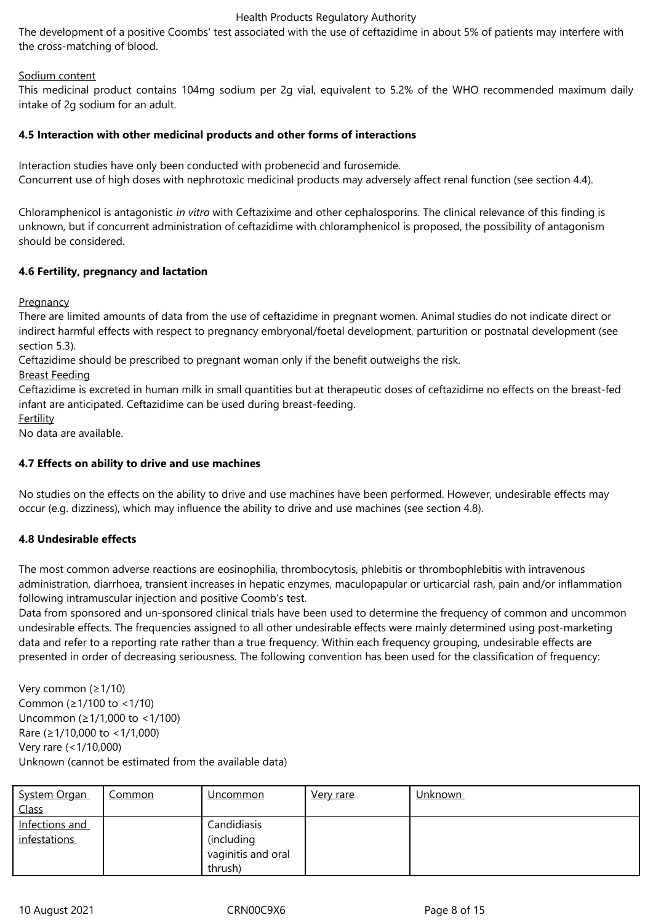## Health Products Regulatory Authority

The development of a positive Coombs' test associated with the use of ceftazidime in about 5% of patients may interfere with the cross-matching of blood.

Sodium content

This medicinal product contains 104mg sodium per 2g vial, equivalent to 5.2% of the WHO recommended maximum daily intake of 2g sodium for an adult.

## **4.5 Interaction with other medicinal products and other forms of interactions**

Interaction studies have only been conducted with probenecid and furosemide. Concurrent use of high doses with nephrotoxic medicinal products may adversely affect renal function (see section 4.4).

Chloramphenicol is antagonistic *in vitro* with Ceftazixime and other cephalosporins. The clinical relevance of this finding is unknown, but if concurrent administration of ceftazidime with chloramphenicol is proposed, the possibility of antagonism should be considered.

## **4.6 Fertility, pregnancy and lactation**

**Pregnancy** 

There are limited amounts of data from the use of ceftazidime in pregnant women. Animal studies do not indicate direct or indirect harmful effects with respect to pregnancy embryonal/foetal development, parturition or postnatal development (see section 5.3).

Ceftazidime should be prescribed to pregnant woman only if the benefit outweighs the risk.

Breast Feeding

Ceftazidime is excreted in human milk in small quantities but at therapeutic doses of ceftazidime no effects on the breast-fed infant are anticipated. Ceftazidime can be used during breast-feeding.

Fertility

No data are available.

## **4.7 Effects on ability to drive and use machines**

No studies on the effects on the ability to drive and use machines have been performed. However, undesirable effects may occur (e.g. dizziness), which may influence the ability to drive and use machines (see section 4.8).

## **4.8 Undesirable effects**

The most common adverse reactions are eosinophilia, thrombocytosis, phlebitis or thrombophlebitis with intravenous administration, diarrhoea, transient increases in hepatic enzymes, maculopapular or urticarcial rash, pain and/or inflammation following intramuscular injection and positive Coomb's test.

Data from sponsored and un-sponsored clinical trials have been used to determine the frequency of common and uncommon undesirable effects. The frequencies assigned to all other undesirable effects were mainly determined using post-marketing data and refer to a reporting rate rather than a true frequency. Within each frequency grouping, undesirable effects are presented in order of decreasing seriousness. The following convention has been used for the classification of frequency:

Very common (≥1/10) Common (≥1/100 to <1/10) Uncommon (≥1/1,000 to <1/100) Rare (≥1/10,000 to <1/1,000) Very rare (<1/10,000) Unknown (cannot be estimated from the available data)

| System Organ<br>Class          | <u>Common</u> | <u>Uncommon</u>                                            | <u>Very rare</u> | <u>Unknown</u> |
|--------------------------------|---------------|------------------------------------------------------------|------------------|----------------|
| Infections and<br>infestations |               | Candidiasis<br>(including<br>vaginitis and oral<br>thrush) |                  |                |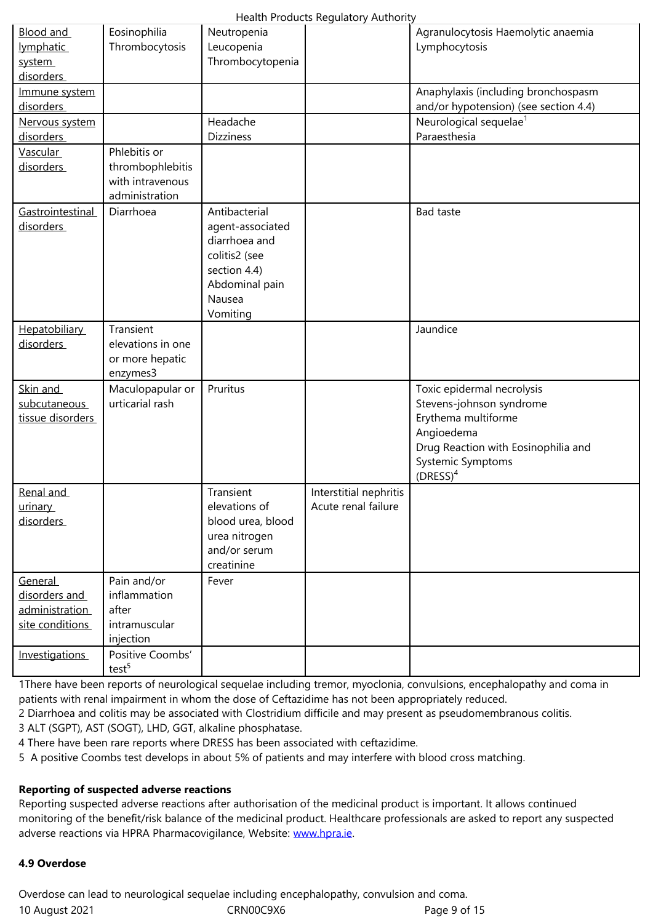| system<br>disorders  |                                       | Thrombocytopenia              |                        |                                                          |
|----------------------|---------------------------------------|-------------------------------|------------------------|----------------------------------------------------------|
| Immune system        |                                       |                               |                        | Anaphylaxis (including bronchospasm                      |
| disorders            |                                       |                               |                        | and/or hypotension) (see section 4.4)                    |
| Nervous system       |                                       | Headache                      |                        | Neurological sequelae <sup>1</sup>                       |
| disorders            |                                       | <b>Dizziness</b>              |                        | Paraesthesia                                             |
| <b>Vascular</b>      | Phlebitis or                          |                               |                        |                                                          |
| disorders            | thrombophlebitis                      |                               |                        |                                                          |
|                      | with intravenous                      |                               |                        |                                                          |
|                      | administration                        |                               |                        |                                                          |
| Gastrointestinal     | Diarrhoea                             | Antibacterial                 |                        | Bad taste                                                |
| disorders            |                                       | agent-associated              |                        |                                                          |
|                      |                                       | diarrhoea and                 |                        |                                                          |
|                      |                                       | colitis2 (see<br>section 4.4) |                        |                                                          |
|                      |                                       | Abdominal pain                |                        |                                                          |
|                      |                                       | Nausea                        |                        |                                                          |
|                      |                                       | Vomiting                      |                        |                                                          |
| <b>Hepatobiliary</b> | Transient                             |                               |                        | Jaundice                                                 |
| disorders            | elevations in one                     |                               |                        |                                                          |
|                      | or more hepatic                       |                               |                        |                                                          |
|                      | enzymes3                              |                               |                        |                                                          |
| Skin and             | Maculopapular or                      | Pruritus                      |                        | Toxic epidermal necrolysis                               |
| subcutaneous         | urticarial rash                       |                               |                        | Stevens-johnson syndrome                                 |
| tissue disorders     |                                       |                               |                        | Erythema multiforme                                      |
|                      |                                       |                               |                        | Angioedema                                               |
|                      |                                       |                               |                        | Drug Reaction with Eosinophilia and<br>Systemic Symptoms |
|                      |                                       |                               |                        | (DRESS) <sup>4</sup>                                     |
| Renal and            |                                       | Transient                     | Interstitial nephritis |                                                          |
| urinary              |                                       | elevations of                 | Acute renal failure    |                                                          |
| disorders            |                                       | blood urea, blood             |                        |                                                          |
|                      |                                       | urea nitrogen                 |                        |                                                          |
|                      |                                       | and/or serum                  |                        |                                                          |
|                      |                                       | creatinine                    |                        |                                                          |
| General              | Pain and/or                           | Fever                         |                        |                                                          |
| disorders and        | inflammation                          |                               |                        |                                                          |
| administration       | after                                 |                               |                        |                                                          |
| site conditions      | intramuscular                         |                               |                        |                                                          |
|                      | injection                             |                               |                        |                                                          |
| Investigations       | Positive Coombs'<br>test <sup>5</sup> |                               |                        |                                                          |

1There have been reports of neurological sequelae including tremor, myoclonia, convulsions, encephalopathy and coma in patients with renal impairment in whom the dose of Ceftazidime has not been appropriately reduced.

2 Diarrhoea and colitis may be associated with Clostridium difficile and may present as pseudomembranous colitis.

3 ALT (SGPT), AST (SOGT), LHD, GGT, alkaline phosphatase.

4 There have been rare reports where DRESS has been associated with ceftazidime.

5 A positive Coombs test develops in about 5% of patients and may interfere with blood cross matching.

## **Reporting of suspected adverse reactions**

Reporting suspected adverse reactions after authorisation of the medicinal product is important. It allows continued monitoring of the benefit/risk balance of the medicinal product. Healthcare professionals are asked to report any suspected adverse reactions via HPRA Pharmacovigilance, Website: www.hpra.ie.

## **4.9 Overdose**

10 August 2021 CRN00C9X6 Page 9 of 15 Overdose can lead to neurological sequelae including en[cephalopath](http://www.hpra.ie/)y, convulsion and coma.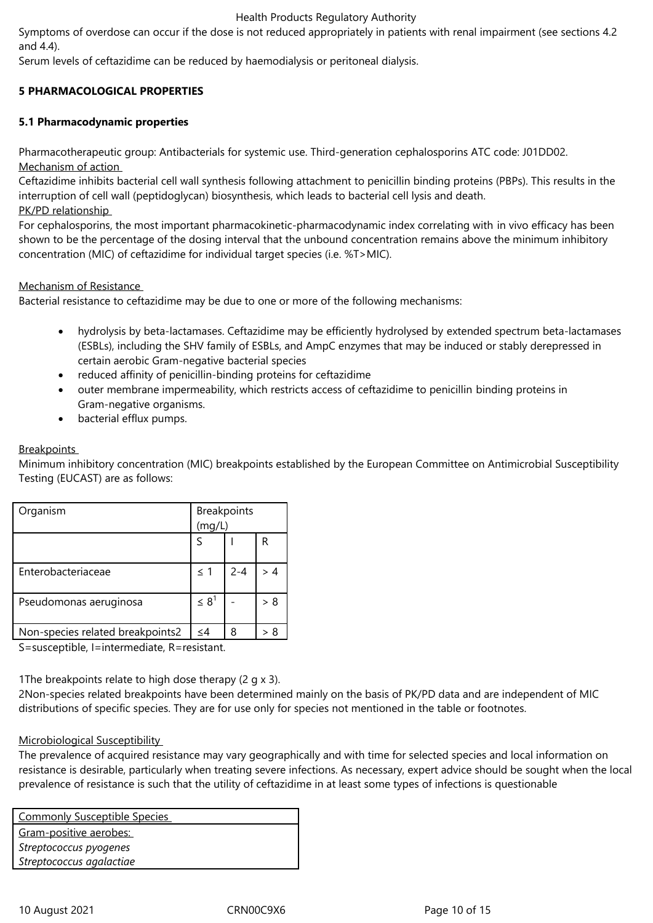Health Products Regulatory Authority

Symptoms of overdose can occur if the dose is not reduced appropriately in patients with renal impairment (see sections 4.2 and 4.4).

Serum levels of ceftazidime can be reduced by haemodialysis or peritoneal dialysis.

## **5 PHARMACOLOGICAL PROPERTIES**

## **5.1 Pharmacodynamic properties**

Pharmacotherapeutic group: Antibacterials for systemic use. Third-generation cephalosporins ATC code: J01DD02. Mechanism of action

Ceftazidime inhibits bacterial cell wall synthesis following attachment to penicillin binding proteins (PBPs). This results in the interruption of cell wall (peptidoglycan) biosynthesis, which leads to bacterial cell lysis and death. PK/PD relationship

For cephalosporins, the most important pharmacokinetic-pharmacodynamic index correlating with in vivo efficacy has been shown to be the percentage of the dosing interval that the unbound concentration remains above the minimum inhibitory concentration (MIC) of ceftazidime for individual target species (i.e. %T>MIC).

## Mechanism of Resistance

Bacterial resistance to ceftazidime may be due to one or more of the following mechanisms:

- hydrolysis by beta-lactamases. Ceftazidime may be efficiently hydrolysed by extended spectrum beta-lactamases (ESBLs), including the SHV family of ESBLs, and AmpC enzymes that may be induced or stably derepressed in certain aerobic Gram-negative bacterial species
- reduced affinity of penicillin-binding proteins for ceftazidime
- outer membrane impermeability, which restricts access of ceftazidime to penicillin binding proteins in Gram-negative organisms.
- bacterial efflux pumps.

## **Breakpoints**

Minimum inhibitory concentration (MIC) breakpoints established by the European Committee on Antimicrobial Susceptibility Testing (EUCAST) are as follows:

| Organism                         | <b>Breakpoints</b><br>(mg/L |         |     |
|----------------------------------|-----------------------------|---------|-----|
|                                  |                             |         | R   |
| Enterobacteriaceae               | ≤ 1                         | $2 - 4$ | > 4 |
| Pseudomonas aeruginosa           | $\leq 8^1$                  |         | > 8 |
| Non-species related breakpoints2 | <4                          | 8       |     |

S=susceptible, I=intermediate, R=resistant.

1The breakpoints relate to high dose therapy  $(2 \text{ g } x \text{ } 3)$ .

2Non-species related breakpoints have been determined mainly on the basis of PK/PD data and are independent of MIC distributions of specific species. They are for use only for species not mentioned in the table or footnotes.

## Microbiological Susceptibility

The prevalence of acquired resistance may vary geographically and with time for selected species and local information on resistance is desirable, particularly when treating severe infections. As necessary, expert advice should be sought when the local prevalence of resistance is such that the utility of ceftazidime in at least some types of infections is questionable

| <b>Commonly Susceptible Species</b> |
|-------------------------------------|
| Gram-positive aerobes:              |
| Streptococcus pyogenes              |
| Streptococcus agalactiae            |
|                                     |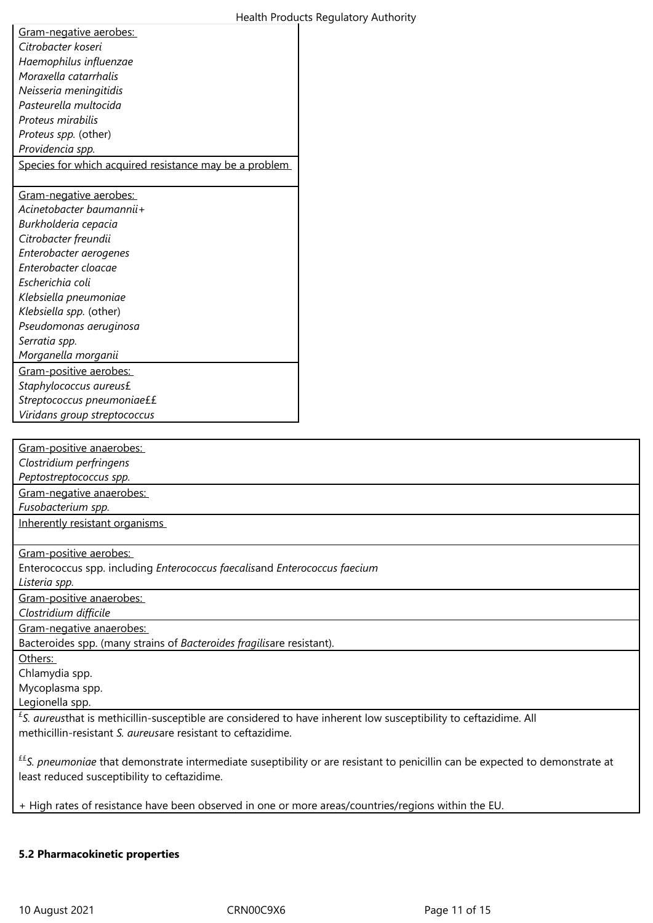| Health Products Regulatory Authority                                                                                                                                                         |
|----------------------------------------------------------------------------------------------------------------------------------------------------------------------------------------------|
| Gram-negative aerobes:                                                                                                                                                                       |
| Citrobacter koseri                                                                                                                                                                           |
| Haemophilus influenzae                                                                                                                                                                       |
| Moraxella catarrhalis                                                                                                                                                                        |
| Neisseria meningitidis                                                                                                                                                                       |
| Pasteurella multocida                                                                                                                                                                        |
| Proteus mirabilis                                                                                                                                                                            |
| Proteus spp. (other)                                                                                                                                                                         |
| Providencia spp.                                                                                                                                                                             |
| Species for which acquired resistance may be a problem                                                                                                                                       |
| Gram-negative aerobes:                                                                                                                                                                       |
| Acinetobacter baumannii+                                                                                                                                                                     |
| Burkholderia cepacia                                                                                                                                                                         |
| Citrobacter freundii                                                                                                                                                                         |
| Enterobacter aerogenes                                                                                                                                                                       |
| Enterobacter cloacae                                                                                                                                                                         |
| Escherichia coli                                                                                                                                                                             |
| Klebsiella pneumoniae                                                                                                                                                                        |
| Klebsiella spp. (other)                                                                                                                                                                      |
| Pseudomonas aeruginosa                                                                                                                                                                       |
| Serratia spp.                                                                                                                                                                                |
| Morganella morganii                                                                                                                                                                          |
| Gram-positive aerobes:                                                                                                                                                                       |
| Staphylococcus aureus£<br>Streptococcus pneumoniae££                                                                                                                                         |
| Viridans group streptococcus                                                                                                                                                                 |
|                                                                                                                                                                                              |
|                                                                                                                                                                                              |
| Gram-positive anaerobes:<br>Clostridium perfringens                                                                                                                                          |
| Peptostreptococcus spp.                                                                                                                                                                      |
| Gram-negative anaerobes:                                                                                                                                                                     |
| Fusobacterium spp.                                                                                                                                                                           |
| Inherently resistant organisms                                                                                                                                                               |
|                                                                                                                                                                                              |
| Gram-positive aerobes:                                                                                                                                                                       |
| Enterococcus spp. including Enterococcus faecalisand Enterococcus faecium                                                                                                                    |
| Listeria spp.                                                                                                                                                                                |
| Gram-positive anaerobes:                                                                                                                                                                     |
| Clostridium difficile                                                                                                                                                                        |
| Gram-negative anaerobes:                                                                                                                                                                     |
| Bacteroides spp. (many strains of Bacteroides fragilisare resistant).                                                                                                                        |
| Others:                                                                                                                                                                                      |
| Chlamydia spp.                                                                                                                                                                               |
| Mycoplasma spp.                                                                                                                                                                              |
| Legionella spp.                                                                                                                                                                              |
| <sup>£</sup> S. aureusthat is methicillin-susceptible are considered to have inherent low susceptibility to ceftazidime. All<br>methicillin-resistant S. aureusare resistant to ceftazidime. |
| <sup>EE</sup> S. pneumoniae that demonstrate intermediate suseptibility or are resistant to penicillin can be expected to demonstrate at                                                     |
| least reduced susceptibility to ceftazidime.                                                                                                                                                 |
|                                                                                                                                                                                              |
| + High rates of resistance have been observed in one or more areas/countries/regions within the EU.                                                                                          |

# **5.2 Pharmacokinetic properties**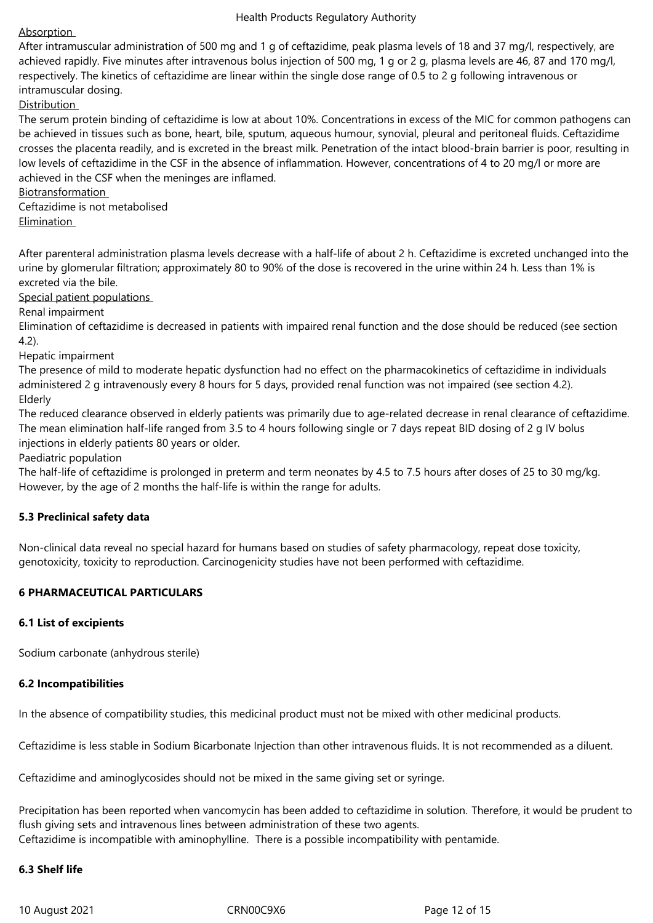# Absorption

After intramuscular administration of 500 mg and 1 g of ceftazidime, peak plasma levels of 18 and 37 mg/l, respectively, are achieved rapidly. Five minutes after intravenous bolus injection of 500 mg, 1 g or 2 g, plasma levels are 46, 87 and 170 mg/l, respectively. The kinetics of ceftazidime are linear within the single dose range of 0.5 to 2 g following intravenous or intramuscular dosing.

**Distribution** 

The serum protein binding of ceftazidime is low at about 10%. Concentrations in excess of the MIC for common pathogens can be achieved in tissues such as bone, heart, bile, sputum, aqueous humour, synovial, pleural and peritoneal fluids. Ceftazidime crosses the placenta readily, and is excreted in the breast milk. Penetration of the intact blood-brain barrier is poor, resulting in low levels of ceftazidime in the CSF in the absence of inflammation. However, concentrations of 4 to 20 mg/l or more are achieved in the CSF when the meninges are inflamed.

Biotransformation

Ceftazidime is not metabolised Elimination

After parenteral administration plasma levels decrease with a half-life of about 2 h. Ceftazidime is excreted unchanged into the urine by glomerular filtration; approximately 80 to 90% of the dose is recovered in the urine within 24 h. Less than 1% is excreted via the bile.

Special patient populations

Renal impairment

Elimination of ceftazidime is decreased in patients with impaired renal function and the dose should be reduced (see section 4.2).

Hepatic impairment

The presence of mild to moderate hepatic dysfunction had no effect on the pharmacokinetics of ceftazidime in individuals administered 2 g intravenously every 8 hours for 5 days, provided renal function was not impaired (see section 4.2). Elderly

The reduced clearance observed in elderly patients was primarily due to age-related decrease in renal clearance of ceftazidime. The mean elimination half-life ranged from 3.5 to 4 hours following single or 7 days repeat BID dosing of 2 g IV bolus injections in elderly patients 80 years or older.

Paediatric population

The half-life of ceftazidime is prolonged in preterm and term neonates by 4.5 to 7.5 hours after doses of 25 to 30 mg/kg. However, by the age of 2 months the half-life is within the range for adults.

# **5.3 Preclinical safety data**

Non-clinical data reveal no special hazard for humans based on studies of safety pharmacology, repeat dose toxicity, genotoxicity, toxicity to reproduction. Carcinogenicity studies have not been performed with ceftazidime.

# **6 PHARMACEUTICAL PARTICULARS**

## **6.1 List of excipients**

Sodium carbonate (anhydrous sterile)

## **6.2 Incompatibilities**

In the absence of compatibility studies, this medicinal product must not be mixed with other medicinal products.

Ceftazidime is less stable in Sodium Bicarbonate Injection than other intravenous fluids. It is not recommended as a diluent.

Ceftazidime and aminoglycosides should not be mixed in the same giving set or syringe.

Precipitation has been reported when vancomycin has been added to ceftazidime in solution. Therefore, it would be prudent to flush giving sets and intravenous lines between administration of these two agents. Ceftazidime is incompatible with aminophylline. There is a possible incompatibility with pentamide.

## **6.3 Shelf life**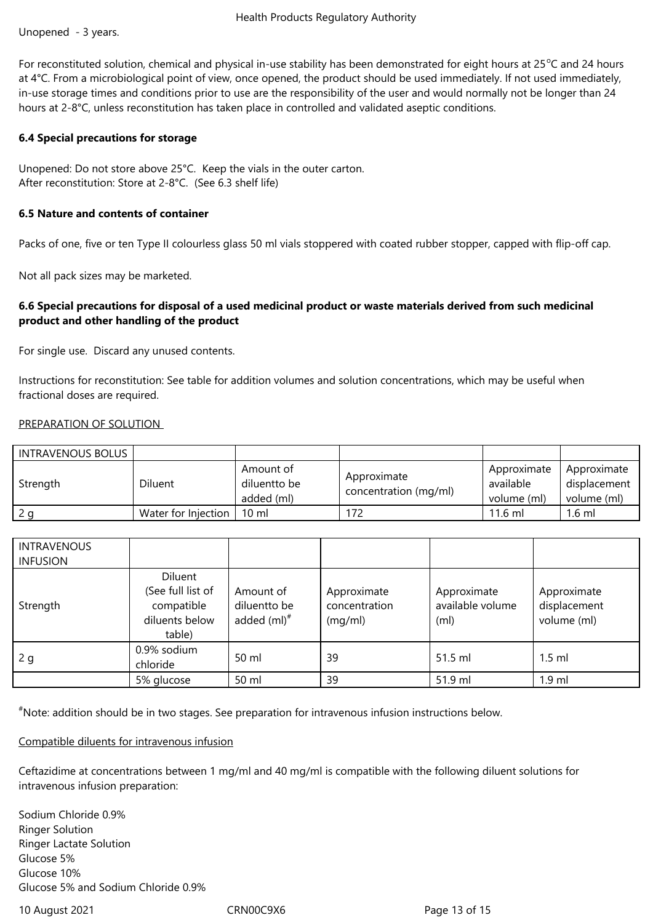Unopened - 3 years.

For reconstituted solution, chemical and physical in-use stability has been demonstrated for eight hours at 25 $\degree$ C and 24 hours at 4°C. From a microbiological point of view, once opened, the product should be used immediately. If not used immediately, in-use storage times and conditions prior to use are the responsibility of the user and would normally not be longer than 24 hours at 2-8°C, unless reconstitution has taken place in controlled and validated aseptic conditions.

#### **6.4 Special precautions for storage**

Unopened: Do not store above 25°C. Keep the vials in the outer carton. After reconstitution: Store at 2-8°C. (See 6.3 shelf life)

## **6.5 Nature and contents of container**

Packs of one, five or ten Type II colourless glass 50 ml vials stoppered with coated rubber stopper, capped with flip-off cap.

Not all pack sizes may be marketed.

## **6.6 Special precautions for disposal of a used medicinal product or waste materials derived from such medicinal product and other handling of the product**

For single use. Discard any unused contents.

Instructions for reconstitution: See table for addition volumes and solution concentrations, which may be useful when fractional doses are required.

#### PREPARATION OF SOLUTION

| <b>INTRAVENOUS BOLUS</b> |                     |                                         |                                      |                                         |                                            |
|--------------------------|---------------------|-----------------------------------------|--------------------------------------|-----------------------------------------|--------------------------------------------|
| Strength                 | <b>Diluent</b>      | Amount of<br>diluentto be<br>added (ml) | Approximate<br>concentration (mg/ml) | Approximate<br>available<br>volume (ml) | Approximate<br>displacement<br>volume (ml) |
|                          | Water for Injection | $10 \text{ ml}$                         | 172                                  | $11.6$ ml                               | $1.6$ ml                                   |

| <b>INTRAVENOUS</b><br><b>INFUSION</b> |                                                                        |                                             |                                         |                                                      |                                            |
|---------------------------------------|------------------------------------------------------------------------|---------------------------------------------|-----------------------------------------|------------------------------------------------------|--------------------------------------------|
| Strength                              | Diluent<br>(See full list of<br>compatible<br>diluents below<br>table) | Amount of<br>diluentto be<br>added $(mI)^*$ | Approximate<br>concentration<br>(mq/ml) | Approximate<br>available volume<br>(m <sub>l</sub> ) | Approximate<br>displacement<br>volume (ml) |
| 2g                                    | 0.9% sodium<br>chloride                                                | 50 ml                                       | 39                                      | 51.5 ml                                              | $1.5$ ml                                   |
|                                       | 5% glucose                                                             | 50 ml                                       | 39                                      | 51.9 ml                                              | $1.9$ ml                                   |

#Note: addition should be in two stages. See preparation for intravenous infusion instructions below.

#### Compatible diluents for intravenous infusion

Ceftazidime at concentrations between 1 mg/ml and 40 mg/ml is compatible with the following diluent solutions for intravenous infusion preparation:

Sodium Chloride 0.9% Ringer Solution Ringer Lactate Solution Glucose 5% Glucose 10% Glucose 5% and Sodium Chloride 0.9%

10 August 2021 CRN00C9X6 Page 13 of 15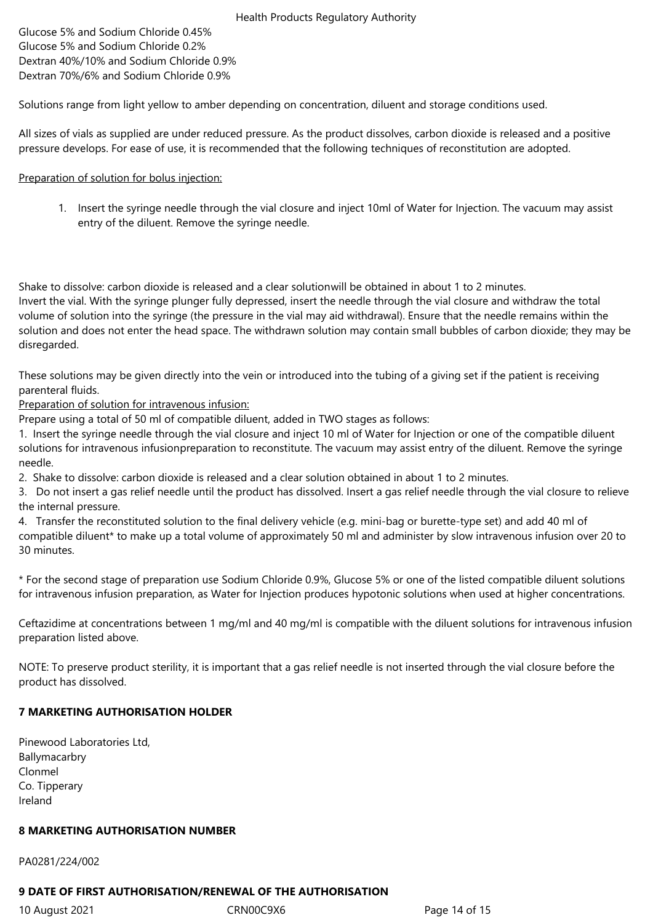Glucose 5% and Sodium Chloride 0.45% Glucose 5% and Sodium Chloride 0.2% Dextran 40%/10% and Sodium Chloride 0.9% Dextran 70%/6% and Sodium Chloride 0.9%

Solutions range from light yellow to amber depending on concentration, diluent and storage conditions used.

All sizes of vials as supplied are under reduced pressure. As the product dissolves, carbon dioxide is released and a positive pressure develops. For ease of use, it is recommended that the following techniques of reconstitution are adopted.

## Preparation of solution for bolus injection:

1. Insert the syringe needle through the vial closure and inject 10ml of Water for Injection. The vacuum may assist entry of the diluent. Remove the syringe needle.

Shake to dissolve: carbon dioxide is released and a clear solutionwill be obtained in about 1 to 2 minutes. Invert the vial. With the syringe plunger fully depressed, insert the needle through the vial closure and withdraw the total volume of solution into the syringe (the pressure in the vial may aid withdrawal). Ensure that the needle remains within the solution and does not enter the head space. The withdrawn solution may contain small bubbles of carbon dioxide; they may be disregarded.

These solutions may be given directly into the vein or introduced into the tubing of a giving set if the patient is receiving parenteral fluids.

Preparation of solution for intravenous infusion:

Prepare using a total of 50 ml of compatible diluent, added in TWO stages as follows:

1. Insert the syringe needle through the vial closure and inject 10 ml of Water for Injection or one of the compatible diluent solutions for intravenous infusionpreparation to reconstitute. The vacuum may assist entry of the diluent. Remove the syringe needle.

2. Shake to dissolve: carbon dioxide is released and a clear solution obtained in about 1 to 2 minutes.

3. Do not insert a gas relief needle until the product has dissolved. Insert a gas relief needle through the vial closure to relieve the internal pressure.

4. Transfer the reconstituted solution to the final delivery vehicle (e.g. mini-bag or burette-type set) and add 40 ml of compatible diluent\* to make up a total volume of approximately 50 ml and administer by slow intravenous infusion over 20 to 30 minutes.

\* For the second stage of preparation use Sodium Chloride 0.9%, Glucose 5% or one of the listed compatible diluent solutions for intravenous infusion preparation, as Water for Injection produces hypotonic solutions when used at higher concentrations.

Ceftazidime at concentrations between 1 mg/ml and 40 mg/ml is compatible with the diluent solutions for intravenous infusion preparation listed above.

NOTE: To preserve product sterility, it is important that a gas relief needle is not inserted through the vial closure before the product has dissolved.

## **7 MARKETING AUTHORISATION HOLDER**

Pinewood Laboratories Ltd, Ballymacarbry Clonmel Co. Tipperary Ireland

# **8 MARKETING AUTHORISATION NUMBER**

PA0281/224/002

# **9 DATE OF FIRST AUTHORISATION/RENEWAL OF THE AUTHORISATION**